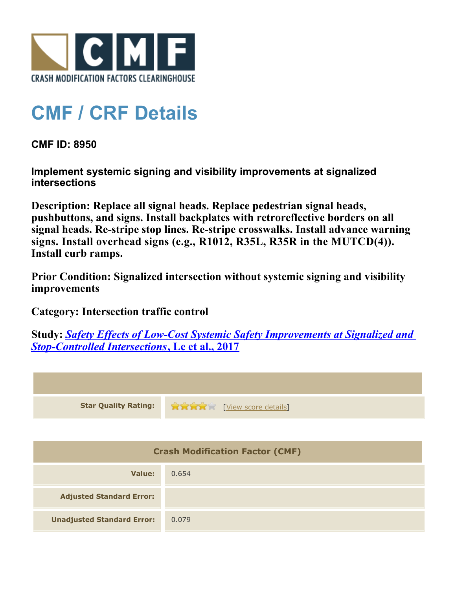

## **CMF / CRF Details**

**CMF ID: 8950**

**Implement systemic signing and visibility improvements at signalized intersections**

**Description: Replace all signal heads. Replace pedestrian signal heads, pushbuttons, and signs. Install backplates with retroreflective borders on all signal heads. Re-stripe stop lines. Re-stripe crosswalks. Install advance warning signs. Install overhead signs (e.g., R1012, R35L, R35R in the MUTCD(4)). Install curb ramps.**

**Prior Condition: Signalized intersection without systemic signing and visibility improvements**

**Category: Intersection traffic control**

**Study:** *[Safety Effects of Low-Cost Systemic Safety Improvements at Signalized and](http://www.cmfclearinghouse.org/study_detail.cfm?stid=492) [Stop-Controlled Intersections](http://www.cmfclearinghouse.org/study_detail.cfm?stid=492)***[, Le et al., 2017](http://www.cmfclearinghouse.org/study_detail.cfm?stid=492)**



| <b>Crash Modification Factor (CMF)</b> |       |  |
|----------------------------------------|-------|--|
| Value:                                 | 0.654 |  |
| <b>Adjusted Standard Error:</b>        |       |  |
| <b>Unadjusted Standard Error:</b>      | 0.079 |  |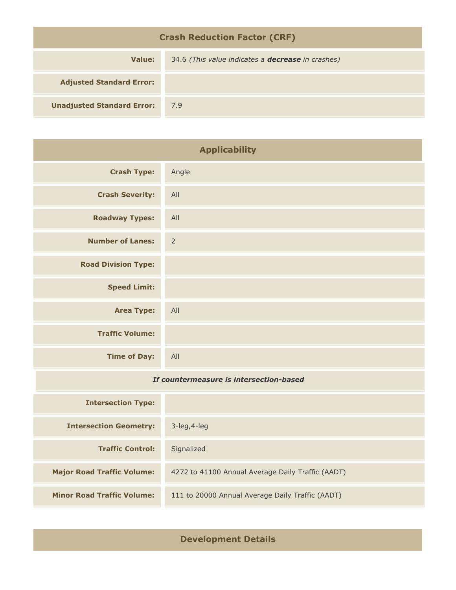| <b>Crash Reduction Factor (CRF)</b> |                                                          |  |
|-------------------------------------|----------------------------------------------------------|--|
| Value:                              | 34.6 (This value indicates a <b>decrease</b> in crashes) |  |
| <b>Adjusted Standard Error:</b>     |                                                          |  |
| <b>Unadjusted Standard Error:</b>   | 7.9                                                      |  |

| <b>Applicability</b>                    |                                                   |
|-----------------------------------------|---------------------------------------------------|
| <b>Crash Type:</b>                      | Angle                                             |
| <b>Crash Severity:</b>                  | All                                               |
| <b>Roadway Types:</b>                   | All                                               |
| <b>Number of Lanes:</b>                 | $\overline{2}$                                    |
| <b>Road Division Type:</b>              |                                                   |
| <b>Speed Limit:</b>                     |                                                   |
| <b>Area Type:</b>                       | All                                               |
| <b>Traffic Volume:</b>                  |                                                   |
| <b>Time of Day:</b>                     | All                                               |
| If countermeasure is intersection-based |                                                   |
| <b>Intersection Type:</b>               |                                                   |
| <b>Intersection Geometry:</b>           | 3-leg, 4-leg                                      |
| <b>Traffic Control:</b>                 | Signalized                                        |
| <b>Major Road Traffic Volume:</b>       | 4272 to 41100 Annual Average Daily Traffic (AADT) |

**Minor Road Traffic Volume:** 111 to 20000 Annual Average Daily Traffic (AADT)

**Development Details**